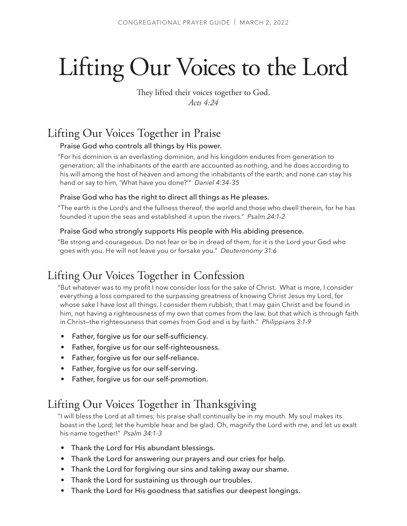# Lifting Our Voices to the Lord

They lifted their voices together to God. *Acts 4:24*

## Lifting Our Voices Together in Praise

## Praise God who controls all things by His power.

"For his dominion is an everlasting dominion, and his kingdom endures from generation to generation; all the inhabitants of the earth are accounted as nothing, and he does according to his will among the host of heaven and among the inhabitants of the earth; and none can stay his hand or say to him, 'What have you done?'" *Daniel 4:34-35*

#### Praise God who has the right to direct all things as He pleases.

"The earth is the Lord's and the fullness thereof, the world and those who dwell therein, for he has founded it upon the seas and established it upon the rivers." *Psalm 24:1-2* 

#### Praise God who strongly supports His people with His abiding presence.

"Be strong and courageous. Do not fear or be in dread of them, for it is the Lord your God who goes with you. He will not leave you or forsake you." *Deuteronomy 31:6* 

## Lifting Our Voices Together in Confession

"But whatever was to my profit I now consider loss for the sake of Christ. What is more, I consider everything a loss compared to the surpassing greatness of knowing Christ Jesus my Lord, for whose sake I have lost all things. I consider them rubbish, that I may gain Christ and be found in him, not having a righteousness of my own that comes from the law, but that which is through faith in Christ—the righteousness that comes from God and is by faith." *Philippians 3:1-9*

- Father, forgive us for our self-sufficiency.
- Father, forgive us for our self-righteousness.
- Father, forgive us for our self-reliance.
- Father, forgive us for our self-serving.
- Father, forgive us for our self-promotion.

## Lifting Our Voices Together in Thanksgiving

"I will bless the Lord at all times; his praise shall continually be in my mouth. My soul makes its boast in the Lord; let the humble hear and be glad. Oh, magnify the Lord with me, and let us exalt his name together!" *Psalm 34:1-3*

- Thank the Lord for His abundant blessings.
- Thank the Lord for answering our prayers and our cries for help.
- Thank the Lord for forgiving our sins and taking away our shame.
- Thank the Lord for sustaining us through our troubles.
- Thank the Lord for His goodness that satisfies our deepest longings.